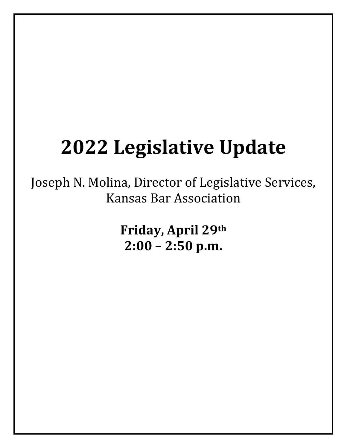#### **2022 Legislative Update**

Joseph N. Molina, Director of Legislative Services, Kansas Bar Association

> **Friday, April 29th 2:00 – 2:50 p.m.**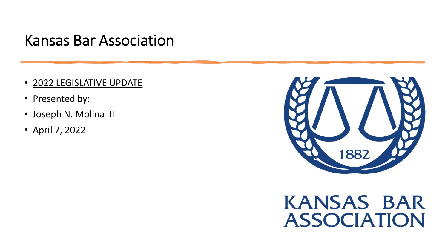#### Kansas Bar Association

- 2022 LEGISLATIVE UPDATE
- Presented by:
- Joseph N. Molina III
- April 7, 2022



#### **KANSAS BAR ASSOCIATION**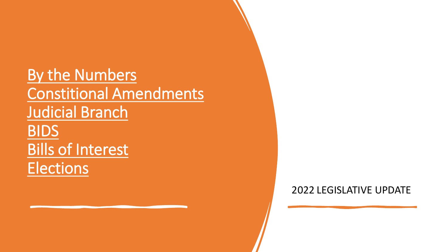By the Numbers Constitional Amendments Judicial Branch BIDS Bills of Interest **Elections** 

2022 LEGISLATIVE UPDATE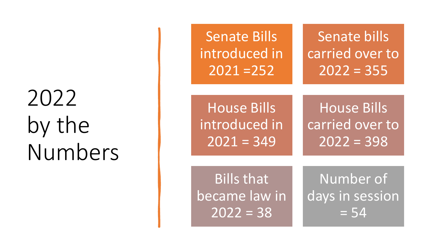## 2022 by the Numbers

| <b>Senate Bills</b>    | Senate bills       |
|------------------------|--------------------|
| introduced in          | carried over to    |
| $2021 = 252$           | $2022 = 355$       |
| <b>House Bills</b>     | <b>House Bills</b> |
| introduced in          | carried over to    |
| $2021 = 349$           | $2022 = 398$       |
| <b>Bills that</b>      | Number of          |
| became law in          | days in session    |
| $\overline{2022} = 38$ | $= 54$             |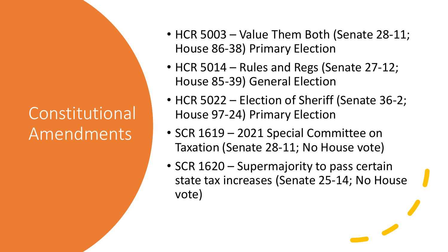#### Constitutional Amendments

- HCR 5003 Value Them Both (Senate 28-11; House 86-38) Primary Election
- HCR 5014 Rules and Regs (Senate 27-12; House 85-39) General Election
- HCR 5022 Election of Sheriff (Senate 36-2; House 97-24) Primary Election
- SCR 1619 2021 Special Committee on Taxation (Senate 28-11; No House vote)
- SCR 1620 Supermajority to pass certain state tax increases (Senate 25-14; No House vote)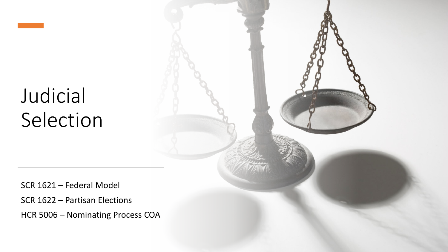## Judicial Selection

SCR 1621 – Federal Model SCR 1622 – Partisan Elections HCR 5006 – Nominating Process COA

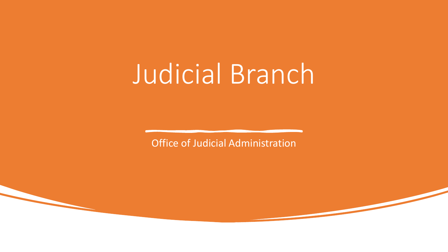# Judicial Branch

Office of Judicial Administration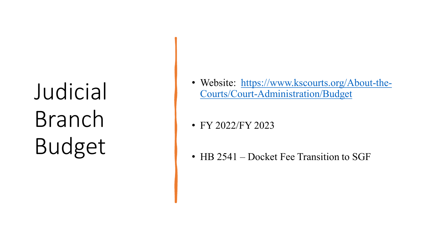Judicial Branch Budget

- [Website: https://www.kscourts.org/About](https://www.kscourts.org/About-the-Courts/Court-Administration/Budget)-the-Courts/Court -Administration/Budget
- FY 2022/FY 2023
- HB 2541 Docket Fee Transition to SGF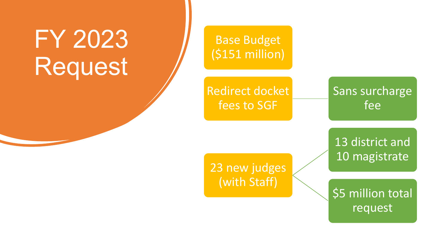# FY 2023 Request

Base Budget (\$151 million)

Redirect docket fees to SGF

Sans surcharge fee

13 district and 10 magistrate

23 new judges (with Staff)

\$5 million total request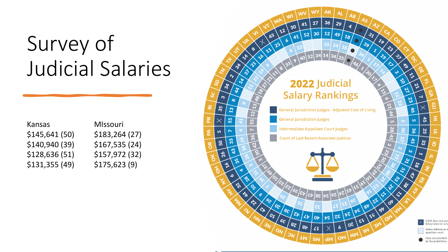## Survey of Judicial Salaries

| Kansas         |
|----------------|
| \$145,641 (50) |
| \$140,940 (39) |
| \$128,636 (51) |
| \$131,355 (49) |

#### MIssouri \$183,264 (27) \$140,940 (39) \$167,535 (24) \$157,972 (32) \$175,623 (9)

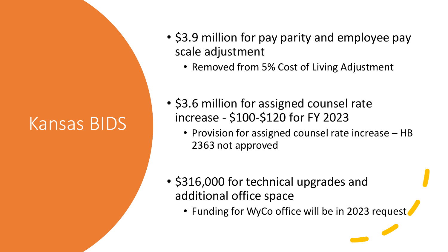### Kansas BIDS

- \$3.9 million for pay parity and employee pay scale adjustment
	- Removed from 5% Cost of Living Adjustment
- \$3.6 million for assigned counsel rate increase - \$100-\$120 for FY 2023
	- Provision for assigned counsel rate increase HB 2363 not approved
- \$316,000 for technical upgrades and additional office space
	- Funding for WyCo office will be in 2023 request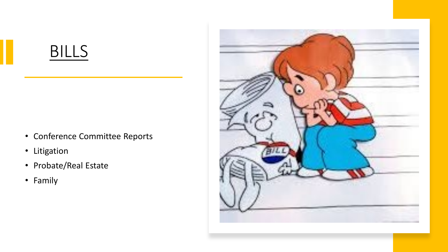#### BILLS

- Conference Committee Reports
- Litigation
- Probate/Real Estate
- Family

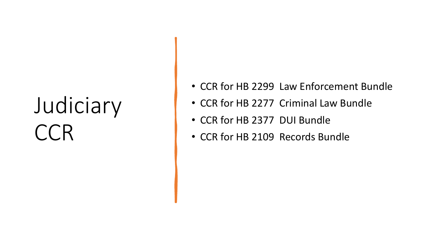# Judiciary CCR

- CCR for HB 2299 Law Enforcement Bundle
- CCR for HB 2277 Criminal Law Bundle
- CCR for HB 2377 DUI Bundle
- CCR for HB 2109 Records Bundle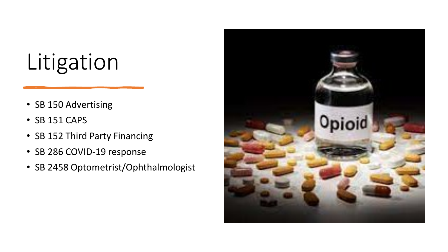## Litigation

- SB 150 Advertising
- SB 151 CAPS
- SB 152 Third Party Financing
- SB 286 COVID-19 response
- SB 2458 Optometrist/Ophthalmologist

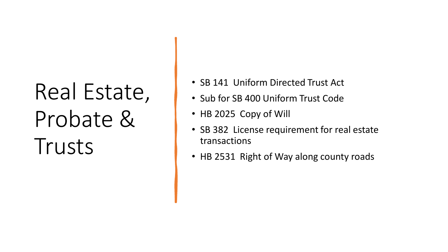# Real Estate, Probate & Trusts

- SB 141 Uniform Directed Trust Act
- Sub for SB 400 Uniform Trust Code
- HB 2025 Copy of Will
- SB 382 License requirement for real estate transactions
- HB 2531 Right of Way along county roads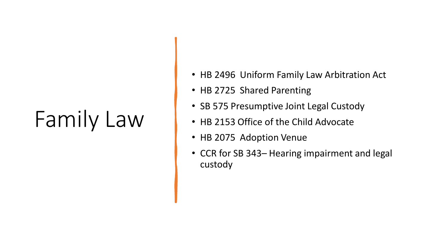## Family Law

- HB 2496 Uniform Family Law Arbitration Act
- HB 2725 Shared Parenting
- SB 575 Presumptive Joint Legal Custody
- HB 2153 Office of the Child Advocate
- HB 2075 Adoption Venue
- CCR for SB 343– Hearing impairment and legal custody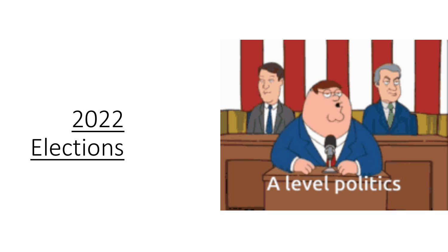# 2022 Elections

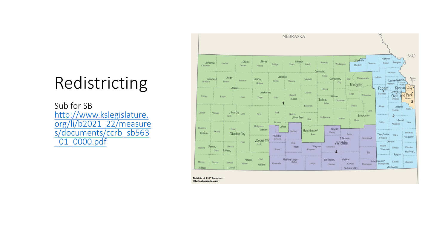#### Redistricting

Sub for SB<br>http://www.kslegislature. [org/li/b2021\\_22/measure](http://www.kslegislature.org/li/b2021_22/measures/documents/ccrb_sb563_01_0000.pdf) s/documents/ccrb\_sb563 \_01\_0000.pdf



http://nationalatlas.gov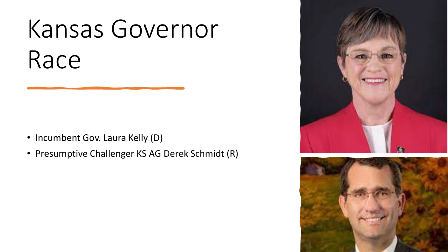# Kansas Governor Race

- Incumbent Gov. Laura Kelly (D)
- Presumptive Challenger KS AG Derek Schmidt (R)



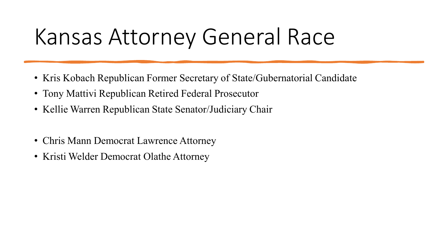## Kansas Attorney General Race

- Kris Kobach Republican Former Secretary of State/Gubernatorial Candidate
- Tony Mattivi Republican Retired Federal Prosecutor
- Kellie Warren Republican State Senator/Judiciary Chair
- Chris Mann Democrat Lawrence Attorney
- Kristi Welder Democrat Olathe Attorney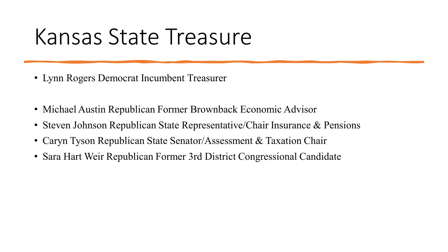## Kansas State Treasure

- Lynn Rogers Democrat Incumbent Treasurer
- Michael Austin Republican Former Brownback Economic Advisor
- Steven Johnson Republican State Representative/Chair Insurance & Pensions
- Caryn Tyson Republican State Senator/Assessment & Taxation Chair
- Sara Hart Weir Republican Former 3rd District Congressional Candidate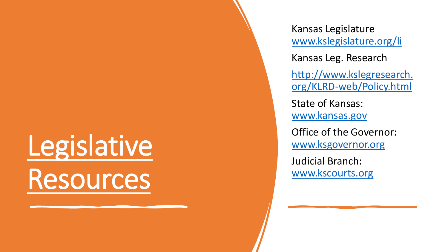# Legislative Resources

Kansas Legislature [www.kslegislature.org/li](http://www.kslegislature.org/li)

Kansas Leg. Research

[http://www.kslegresearch.](http://www.kslegresearch.org/KLRD-web/Policy.html) org/KLRD -web/Policy.html

State of Kansas: [www.kansas.gov](http://www.kansas.gov/)

Office of the Governor: [www.ksgovernor.org](http://www.ksgovernor.org/)

Judicial Branch: [www.kscourts.org](http://www.kscourts.org/)